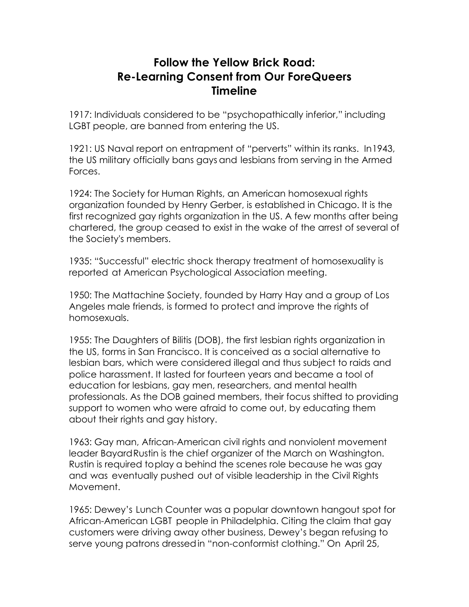## **Follow the Yellow Brick Road: Re-Learning Consent from Our ForeQueers Timeline**

1917: Individuals considered to be "psychopathically inferior," including LGBT people, are banned from entering the US.

1921: US Naval report on entrapment of "perverts" within its ranks. In1943, the US military officially bans gays and lesbians from serving in the Armed Forces.

1924: The Society for Human Rights, an American homosexual rights organization founded by Henry Gerber, is established in Chicago. It is the first recognized gay rights organization in the US. A few months after being chartered, the group ceased to exist in the wake of the arrest of several of the Society's members.

1935: "Successful" electric shock therapy treatment of homosexuality is reported at American Psychological Association meeting.

1950: The Mattachine Society, founded by Harry Hay and a group of Los Angeles male friends, is formed to protect and improve the rights of homosexuals.

1955: The Daughters of Bilitis (DOB), the first lesbian rights organization in the US, forms in San Francisco. It is conceived as a social alternative to lesbian bars, which were considered illegal and thus subject to raids and police harassment. It lasted for fourteen years and became a tool of education for lesbians, gay men, researchers, and mental health professionals. As the DOB gained members, their focus shifted to providing support to women who were afraid to come out, by educating them about their rights and gay history.

1963: Gay man, African-American civil rights and nonviolent movement leader BayardRustin is the chief organizer of the March on Washington. Rustin is required toplay a behind the scenes role because he was gay and was eventually pushed out of visible leadership in the Civil Rights Movement.

1965: Dewey's Lunch Counter was a popular downtown hangout spot for African-American LGBT people in Philadelphia. Citing the claim that gay customers were driving away other business, Dewey's began refusing to serve young patrons dressedin "non-conformist clothing." On April 25,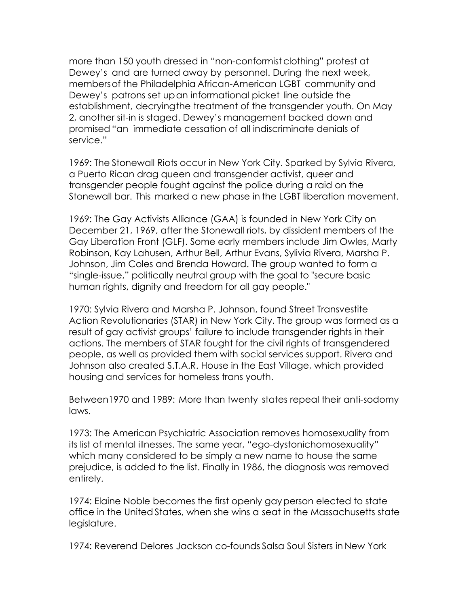more than 150 youth dressed in "non-conformist clothing" protest at Dewey's and are turned away by personnel. During the next week, membersof the Philadelphia African-American LGBT community and Dewey's patrons set upan informational picket line outside the establishment, decryingthe treatment of the transgender youth. On May 2, another sit-in is staged. Dewey's management backed down and promised"an immediate cessation of all indiscriminate denials of service."

1969: The Stonewall Riots occur in New York City. Sparked by Sylvia Rivera, a Puerto Rican drag queen and transgender activist, queer and transgender people fought against the police during a raid on the Stonewall bar. This marked a new phase in the LGBT liberation movement.

1969: The Gay Activists Alliance (GAA) is founded in New York City on December 21, 1969, after the Stonewall riots, by dissident members of the Gay Liberation Front (GLF). Some early members include Jim Owles, Marty Robinson, Kay Lahusen, Arthur Bell, Arthur Evans, Sylivia Rivera, Marsha P. Johnson, Jim Coles and Brenda Howard. The group wanted to form a "single-issue," politically neutral group with the goal to "secure basic human rights, dignity and freedom for all gay people."

1970: Sylvia Rivera and Marsha P. Johnson, found Street Transvestite Action Revolutionaries (STAR) in New York City. The group was formed as a result of gay activist groups' failure to include transgender rights in their actions. The members of STAR fought for the civil rights of transgendered people, as well as provided them with social services support. Rivera and Johnson also created S.T.A.R. House in the East Village, which provided housing and services for homeless trans youth.

Between1970 and 1989: More than twenty states repeal their anti-sodomy laws.

1973: The American Psychiatric Association removes homosexuality from its list of mental illnesses. The same year, "ego-dystonichomosexuality" which many considered to be simply a new name to house the same prejudice, is added to the list. Finally in 1986, the diagnosis was removed entirely.

1974: Elaine Noble becomes the first openly gayperson elected to state office in the United States, when she wins a seat in the Massachusetts state legislature.

1974: Reverend Delores Jackson co-founds Salsa Soul Sisters in New York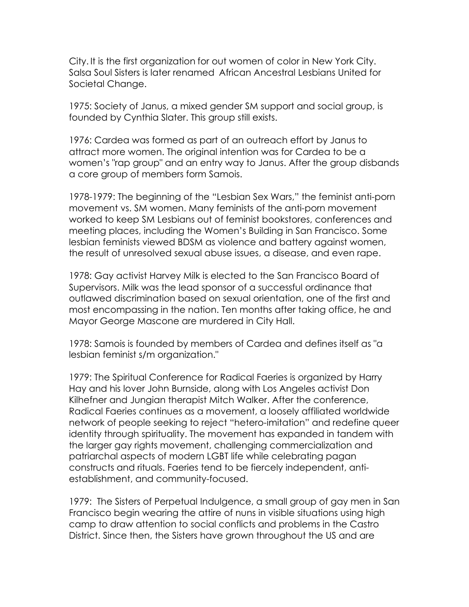City. It is the first organization for out women of color in New York City. Salsa Soul Sisters is later renamed African Ancestral Lesbians United for Societal Change.

1975: Society of Janus, a mixed gender SM support and social group, is founded by Cynthia Slater. This group still exists.

1976: Cardea was formed as part of an outreach effort by Janus to attract more women. The original intention was for Cardea to be a women's "rap group" and an entry way to Janus. After the group disbands a core group of members form Samois.

1978-1979: The beginning of the "Lesbian Sex Wars," the feminist anti-porn movement vs. SM women. Many feminists of the anti-porn movement worked to keep SM Lesbians out of feminist bookstores, conferences and meeting places, including the Women's Building in San Francisco. Some lesbian feminists viewed BDSM as violence and battery against women, the result of unresolved sexual abuse issues, a disease, and even rape.

1978: Gay activist Harvey Milk is elected to the San Francisco Board of Supervisors. Milk was the lead sponsor of a successful ordinance that outlawed discrimination based on sexual orientation, one of the first and most encompassing in the nation. Ten months after taking office, he and Mayor George Mascone are murdered in City Hall.

1978: Samois is founded by members of Cardea and defines itself as "a lesbian feminist s/m organization."

1979: The Spiritual Conference for Radical Faeries is organized by Harry Hay and his lover John Burnside, along with Los Angeles activist Don Kilhefner and Jungian therapist Mitch Walker. After the conference, Radical Faeries continues as a movement, a loosely affiliated worldwide network of people seeking to reject "hetero-imitation" and redefine queer identity through spirituality. The movement has expanded in tandem with the larger gay rights movement, challenging commercialization and patriarchal aspects of modern LGBT life while celebrating pagan constructs and rituals. Faeries tend to be fiercely independent, antiestablishment, and community-focused.

1979: The Sisters of Perpetual Indulgence, a small group of gay men in San Francisco begin wearing the attire of nuns in visible situations using high camp to draw attention to social conflicts and problems in the Castro District. Since then, the Sisters have grown throughout the US and are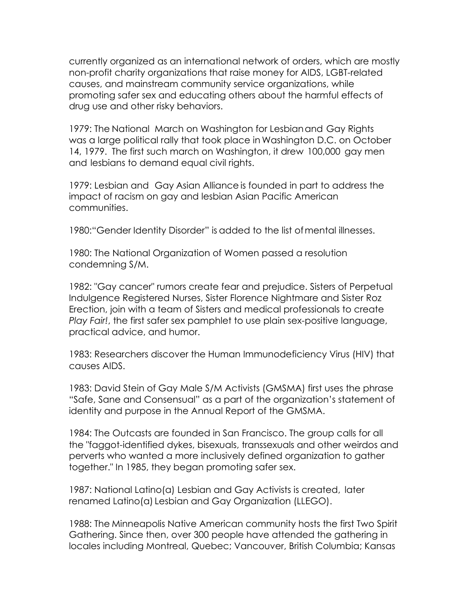currently organized as an international network of orders, which are mostly non-profit charity organizations that raise money for AIDS, LGBT-related causes, and mainstream community service organizations, while promoting safer sex and educating others about the harmful effects of drug use and other risky behaviors.

1979: The National March on Washington for Lesbianand Gay Rights was a large political rally that took place in Washington D.C. on October 14, 1979. The first such march on Washington, it drew 100,000 gay men and lesbians to demand equal civil rights.

1979: Lesbian and Gay Asian Alliance is founded in part to address the impact of racism on gay and lesbian Asian Pacific American communities.

1980:"Gender Identity Disorder" is added to the list ofmental illnesses.

1980: The National Organization of Women passed a resolution condemning S/M.

1982: "Gay cancer" rumors create fear and prejudice. Sisters of Perpetual Indulgence Registered Nurses, Sister Florence Nightmare and Sister Roz Erection, join with a team of Sisters and medical professionals to create *Play Fair!*, the first safer sex pamphlet to use plain sex-positive language, practical advice, and humor.

1983: Researchers discover the Human Immunodeficiency Virus (HIV) that causes AIDS.

1983: David Stein of Gay Male S/M Activists (GMSMA) first uses the phrase "Safe, Sane and Consensual" as a part of the organization's statement of identity and purpose in the Annual Report of the GMSMA.

1984: The Outcasts are founded in San Francisco. The group calls for all the "faggot-identified dykes, bisexuals, transsexuals and other weirdos and perverts who wanted a more inclusively defined organization to gather together." In 1985, they began promoting safer sex.

1987: National Latino(a) Lesbian and Gay Activists is created, later renamed Latino(a) Lesbian and Gay Organization (LLEGO).

1988: The Minneapolis Native American community hosts the first Two Spirit Gathering. Since then, over 300 people have attended the gathering in locales including Montreal, Quebec; Vancouver, British Columbia; Kansas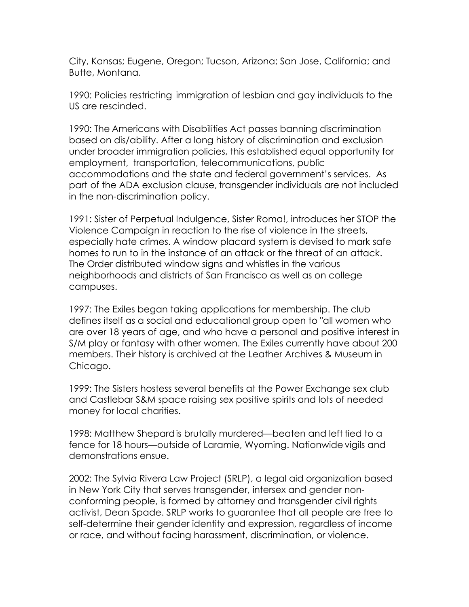City, Kansas; Eugene, Oregon; Tucson, Arizona; San Jose, California; and Butte, Montana.

1990: Policies restricting immigration of lesbian and gay individuals to the US are rescinded.

1990: The Americans with Disabilities Act passes banning discrimination based on dis/ability. After a long history of discrimination and exclusion under broader immigration policies, this established equal opportunity for employment, transportation, telecommunications, public accommodations and the state and federal government's services. As part of the ADA exclusion clause, transgender individuals are not included in the non-discrimination policy.

1991: Sister of Perpetual Indulgence, Sister Roma!, introduces her STOP the Violence Campaign in reaction to the rise of violence in the streets, especially hate crimes. A window placard system is devised to mark safe homes to run to in the instance of an attack or the threat of an attack. The Order distributed window signs and whistles in the various neighborhoods and districts of San Francisco as well as on college campuses.

1997: The Exiles began taking applications for membership. The club defines itself as a social and educational group open to "all women who are over 18 years of age, and who have a personal and positive interest in S/M play or fantasy with other women. The Exiles currently have about 200 members. Their history is archived at the Leather Archives & Museum in Chicago.

1999: The Sisters hostess several benefits at the Power Exchange sex club and Castlebar S&M space raising sex positive spirits and lots of needed money for local charities.

1998: Matthew Shepardis brutally murdered—beaten and left tied to a fence for 18 hours—outside of Laramie, Wyoming. Nationwidevigils and demonstrations ensue.

2002: The Sylvia Rivera Law Project (SRLP), a legal aid organization based in New York City that serves transgender, intersex and gender nonconforming people, is formed by attorney and transgender civil rights activist, Dean Spade. SRLP works to guarantee that all people are free to self-determine their gender identity and expression, regardless of income or race, and without facing harassment, discrimination, or violence.